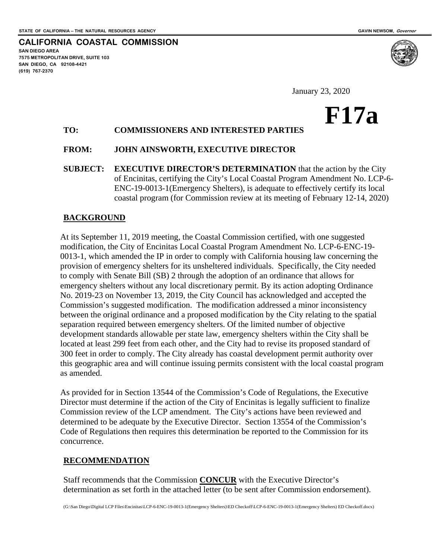**CALIFORNIA COASTAL COMMISSION SAN DIEGO AREA 7575 METROPOLITAN DRIVE, SUITE 103 SAN DIEGO, CA 92108-4421 (619) 767-2370** 

January 23, 2020

# **F17a**

# **TO: COMMISSIONERS AND INTERESTED PARTIES**

### **FROM: JOHN AINSWORTH, EXECUTIVE DIRECTOR**

**SUBJECT: EXECUTIVE DIRECTOR'S DETERMINATION** that the action by the City of Encinitas, certifying the City's Local Coastal Program Amendment No. LCP-6- ENC-19-0013-1(Emergency Shelters), is adequate to effectively certify its local coastal program (for Commission review at its meeting of February 12-14, 2020)

### **BACKGROUND**

At its September 11, 2019 meeting, the Coastal Commission certified, with one suggested modification, the City of Encinitas Local Coastal Program Amendment No. LCP-6-ENC-19- 0013-1, which amended the IP in order to comply with California housing law concerning the provision of emergency shelters for its unsheltered individuals. Specifically, the City needed to comply with Senate Bill (SB) 2 through the adoption of an ordinance that allows for emergency shelters without any local discretionary permit. By its action adopting Ordinance No. 2019-23 on November 13, 2019, the City Council has acknowledged and accepted the Commission's suggested modification. The modification addressed a minor inconsistency between the original ordinance and a proposed modification by the City relating to the spatial separation required between emergency shelters. Of the limited number of objective development standards allowable per state law, emergency shelters within the City shall be located at least 299 feet from each other, and the City had to revise its proposed standard of 300 feet in order to comply. The City already has coastal development permit authority over this geographic area and will continue issuing permits consistent with the local coastal program as amended.

As provided for in Section 13544 of the Commission's Code of Regulations, the Executive Director must determine if the action of the City of Encinitas is legally sufficient to finalize Commission review of the LCP amendment. The City's actions have been reviewed and determined to be adequate by the Executive Director. Section 13554 of the Commission's Code of Regulations then requires this determination be reported to the Commission for its concurrence.

#### **RECOMMENDATION**

Staff recommends that the Commission **CONCUR** with the Executive Director's determination as set forth in the attached letter (to be sent after Commission endorsement).